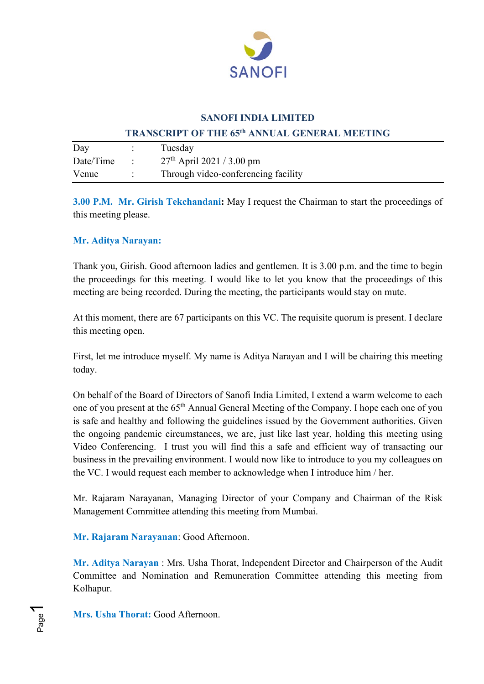

### **SANOFI INDIA LIMITED**

#### **TRANSCRIPT OF THE 65th ANNUAL GENERAL MEETING**

| Day       |              | Tuesday                             |
|-----------|--------------|-------------------------------------|
| Date/Time | $\therefore$ | $27th$ April 2021 / 3.00 pm         |
| Venue     |              | Through video-conferencing facility |

**3.00 P.M. Mr. Girish Tekchandani:** May I request the Chairman to start the proceedings of this meeting please.

### **Mr. Aditya Narayan:**

Thank you, Girish. Good afternoon ladies and gentlemen. It is 3.00 p.m. and the time to begin the proceedings for this meeting. I would like to let you know that the proceedings of this meeting are being recorded. During the meeting, the participants would stay on mute.

At this moment, there are 67 participants on this VC. The requisite quorum is present. I declare this meeting open.

First, let me introduce myself. My name is Aditya Narayan and I will be chairing this meeting today.

On behalf of the Board of Directors of Sanofi India Limited, I extend a warm welcome to each one of you present at the 65<sup>th</sup> Annual General Meeting of the Company. I hope each one of you is safe and healthy and following the guidelines issued by the Government authorities. Given the ongoing pandemic circumstances, we are, just like last year, holding this meeting using Video Conferencing. I trust you will find this a safe and efficient way of transacting our business in the prevailing environment. I would now like to introduce to you my colleagues on the VC. I would request each member to acknowledge when I introduce him / her.

Mr. Rajaram Narayanan, Managing Director of your Company and Chairman of the Risk Management Committee attending this meeting from Mumbai.

**Mr. Rajaram Narayanan**: Good Afternoon.

**Mr. Aditya Narayan** : Mrs. Usha Thorat, Independent Director and Chairperson of the Audit Committee and Nomination and Remuneration Committee attending this meeting from Kolhapur.

**Mrs. Usha Thorat:** Good Afternoon.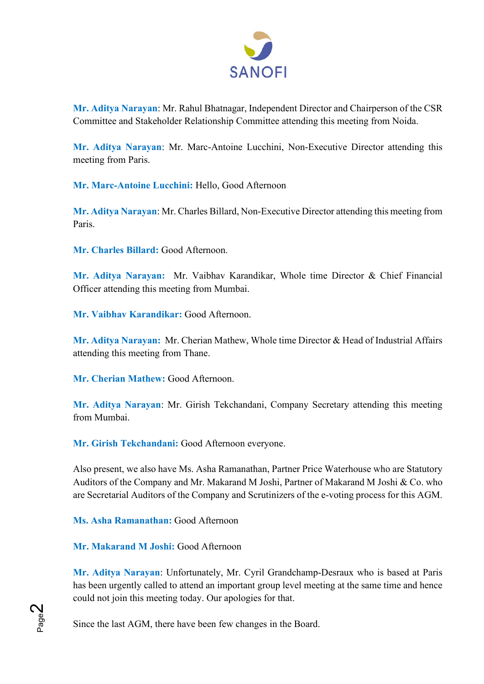

**Mr. Aditya Narayan**: Mr. Rahul Bhatnagar, Independent Director and Chairperson of the CSR Committee and Stakeholder Relationship Committee attending this meeting from Noida.

**Mr. Aditya Narayan**: Mr. Marc-Antoine Lucchini, Non-Executive Director attending this meeting from Paris.

**Mr. Marc-Antoine Lucchini:** Hello, Good Afternoon

**Mr. Aditya Narayan**: Mr. Charles Billard, Non-Executive Director attending this meeting from Paris.

**Mr. Charles Billard:** Good Afternoon.

**Mr. Aditya Narayan:** Mr. Vaibhav Karandikar, Whole time Director & Chief Financial Officer attending this meeting from Mumbai.

**Mr. Vaibhav Karandikar:** Good Afternoon.

**Mr. Aditya Narayan:** Mr. Cherian Mathew, Whole time Director & Head of Industrial Affairs attending this meeting from Thane.

**Mr. Cherian Mathew:** Good Afternoon.

**Mr. Aditya Narayan**: Mr. Girish Tekchandani, Company Secretary attending this meeting from Mumbai.

**Mr. Girish Tekchandani:** Good Afternoon everyone.

Also present, we also have Ms. Asha Ramanathan, Partner Price Waterhouse who are Statutory Auditors of the Company and Mr. Makarand M Joshi, Partner of Makarand M Joshi & Co. who are Secretarial Auditors of the Company and Scrutinizers of the e-voting process for this AGM.

**Ms. Asha Ramanathan:** Good Afternoon

**Mr. Makarand M Joshi:** Good Afternoon

**Mr. Aditya Narayan**: Unfortunately, Mr. Cyril Grandchamp-Desraux who is based at Paris has been urgently called to attend an important group level meeting at the same time and hence could not join this meeting today. Our apologies for that.

Since the last AGM, there have been few changes in the Board.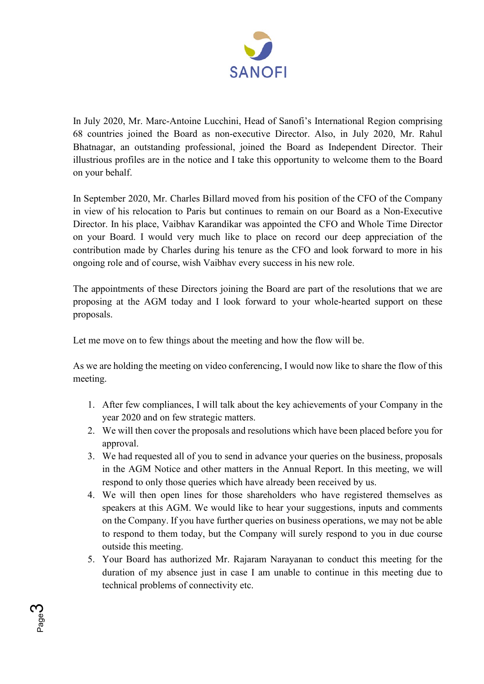

In July 2020, Mr. Marc-Antoine Lucchini, Head of Sanofi's International Region comprising 68 countries joined the Board as non-executive Director. Also, in July 2020, Mr. Rahul Bhatnagar, an outstanding professional, joined the Board as Independent Director. Their illustrious profiles are in the notice and I take this opportunity to welcome them to the Board on your behalf.

In September 2020, Mr. Charles Billard moved from his position of the CFO of the Company in view of his relocation to Paris but continues to remain on our Board as a Non-Executive Director. In his place, Vaibhav Karandikar was appointed the CFO and Whole Time Director on your Board. I would very much like to place on record our deep appreciation of the contribution made by Charles during his tenure as the CFO and look forward to more in his ongoing role and of course, wish Vaibhav every success in his new role.

The appointments of these Directors joining the Board are part of the resolutions that we are proposing at the AGM today and I look forward to your whole-hearted support on these proposals.

Let me move on to few things about the meeting and how the flow will be.

As we are holding the meeting on video conferencing, I would now like to share the flow of this meeting.

- 1. After few compliances, I will talk about the key achievements of your Company in the year 2020 and on few strategic matters.
- 2. We will then cover the proposals and resolutions which have been placed before you for approval.
- 3. We had requested all of you to send in advance your queries on the business, proposals in the AGM Notice and other matters in the Annual Report. In this meeting, we will respond to only those queries which have already been received by us.
- 4. We will then open lines for those shareholders who have registered themselves as speakers at this AGM. We would like to hear your suggestions, inputs and comments on the Company. If you have further queries on business operations, we may not be able to respond to them today, but the Company will surely respond to you in due course outside this meeting.
- 5. Your Board has authorized Mr. Rajaram Narayanan to conduct this meeting for the duration of my absence just in case I am unable to continue in this meeting due to technical problems of connectivity etc.

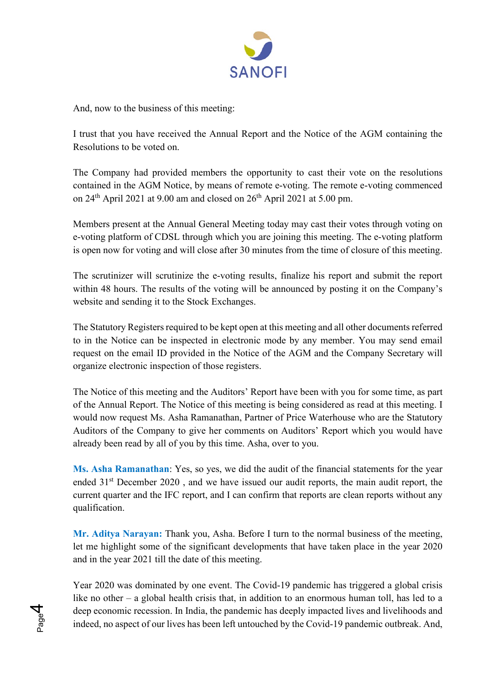

And, now to the business of this meeting:

Page 4

I trust that you have received the Annual Report and the Notice of the AGM containing the Resolutions to be voted on.

The Company had provided members the opportunity to cast their vote on the resolutions contained in the AGM Notice, by means of remote e-voting. The remote e-voting commenced on  $24<sup>th</sup>$  April 2021 at 9.00 am and closed on  $26<sup>th</sup>$  April 2021 at 5.00 pm.

Members present at the Annual General Meeting today may cast their votes through voting on e-voting platform of CDSL through which you are joining this meeting. The e-voting platform is open now for voting and will close after 30 minutes from the time of closure of this meeting.

The scrutinizer will scrutinize the e-voting results, finalize his report and submit the report within 48 hours. The results of the voting will be announced by posting it on the Company's website and sending it to the Stock Exchanges.

The Statutory Registers required to be kept open at this meeting and all other documents referred to in the Notice can be inspected in electronic mode by any member. You may send email request on the email ID provided in the Notice of the AGM and the Company Secretary will organize electronic inspection of those registers.

The Notice of this meeting and the Auditors' Report have been with you for some time, as part of the Annual Report. The Notice of this meeting is being considered as read at this meeting. I would now request Ms. Asha Ramanathan, Partner of Price Waterhouse who are the Statutory Auditors of the Company to give her comments on Auditors' Report which you would have already been read by all of you by this time. Asha, over to you.

**Ms. Asha Ramanathan**: Yes, so yes, we did the audit of the financial statements for the year ended 31<sup>st</sup> December 2020, and we have issued our audit reports, the main audit report, the current quarter and the IFC report, and I can confirm that reports are clean reports without any qualification.

**Mr. Aditya Narayan:** Thank you, Asha. Before I turn to the normal business of the meeting, let me highlight some of the significant developments that have taken place in the year 2020 and in the year 2021 till the date of this meeting.

Year 2020 was dominated by one event. The Covid-19 pandemic has triggered a global crisis like no other – a global health crisis that, in addition to an enormous human toll, has led to a deep economic recession. In India, the pandemic has deeply impacted lives and livelihoods and indeed, no aspect of our lives has been left untouched by the Covid-19 pandemic outbreak. And,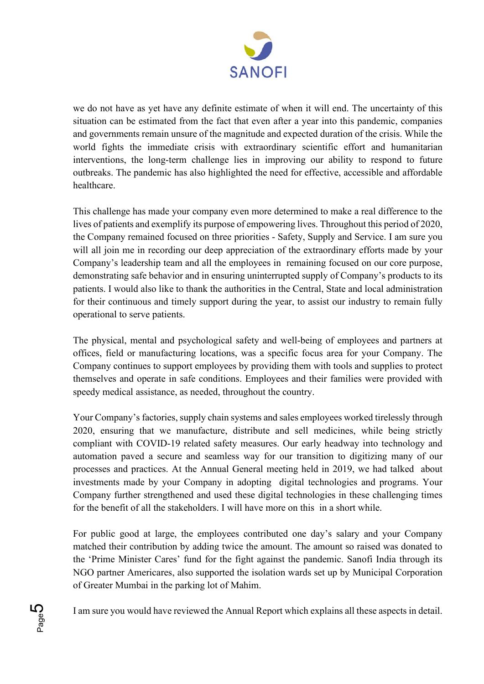

we do not have as yet have any definite estimate of when it will end. The uncertainty of this situation can be estimated from the fact that even after a year into this pandemic, companies and governments remain unsure of the magnitude and expected duration of the crisis. While the world fights the immediate crisis with extraordinary scientific effort and humanitarian interventions, the long-term challenge lies in improving our ability to respond to future outbreaks. The pandemic has also highlighted the need for effective, accessible and affordable healthcare.

This challenge has made your company even more determined to make a real difference to the lives of patients and exemplify its purpose of empowering lives. Throughout this period of 2020, the Company remained focused on three priorities - Safety, Supply and Service. I am sure you will all join me in recording our deep appreciation of the extraordinary efforts made by your Company's leadership team and all the employees in remaining focused on our core purpose, demonstrating safe behavior and in ensuring uninterrupted supply of Company's products to its patients. I would also like to thank the authorities in the Central, State and local administration for their continuous and timely support during the year, to assist our industry to remain fully operational to serve patients.

The physical, mental and psychological safety and well-being of employees and partners at offices, field or manufacturing locations, was a specific focus area for your Company. The Company continues to support employees by providing them with tools and supplies to protect themselves and operate in safe conditions. Employees and their families were provided with speedy medical assistance, as needed, throughout the country.

Your Company's factories, supply chain systems and sales employees worked tirelessly through 2020, ensuring that we manufacture, distribute and sell medicines, while being strictly compliant with COVID-19 related safety measures. Our early headway into technology and automation paved a secure and seamless way for our transition to digitizing many of our processes and practices. At the Annual General meeting held in 2019, we had talked about investments made by your Company in adopting digital technologies and programs. Your Company further strengthened and used these digital technologies in these challenging times for the benefit of all the stakeholders. I will have more on this in a short while.

For public good at large, the employees contributed one day's salary and your Company matched their contribution by adding twice the amount. The amount so raised was donated to the 'Prime Minister Cares' fund for the fight against the pandemic. Sanofi India through its NGO partner Americares, also supported the isolation wards set up by Municipal Corporation of Greater Mumbai in the parking lot of Mahim.

I am sure you would have reviewed the Annual Report which explains all these aspects in detail.

Page <u>LQ</u>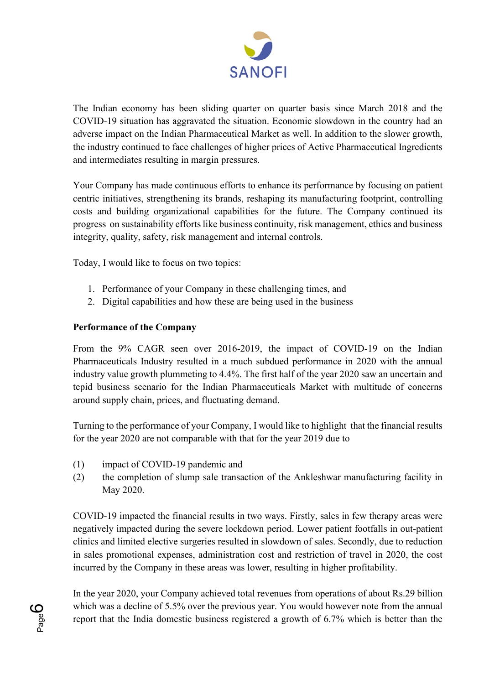

The Indian economy has been sliding quarter on quarter basis since March 2018 and the COVID-19 situation has aggravated the situation. Economic slowdown in the country had an adverse impact on the Indian Pharmaceutical Market as well. In addition to the slower growth, the industry continued to face challenges of higher prices of Active Pharmaceutical Ingredients and intermediates resulting in margin pressures.

Your Company has made continuous efforts to enhance its performance by focusing on patient centric initiatives, strengthening its brands, reshaping its manufacturing footprint, controlling costs and building organizational capabilities for the future. The Company continued its progress on sustainability efforts like business continuity, risk management, ethics and business integrity, quality, safety, risk management and internal controls.

Today, I would like to focus on two topics:

- 1. Performance of your Company in these challenging times, and
- 2. Digital capabilities and how these are being used in the business

### **Performance of the Company**

From the 9% CAGR seen over 2016-2019, the impact of COVID-19 on the Indian Pharmaceuticals Industry resulted in a much subdued performance in 2020 with the annual industry value growth plummeting to 4.4%. The first half of the year 2020 saw an uncertain and tepid business scenario for the Indian Pharmaceuticals Market with multitude of concerns around supply chain, prices, and fluctuating demand.

Turning to the performance of your Company, I would like to highlight that the financial results for the year 2020 are not comparable with that for the year 2019 due to

(1) impact of COVID-19 pandemic and

Page <u>လ</u>

(2) the completion of slump sale transaction of the Ankleshwar manufacturing facility in May 2020.

COVID-19 impacted the financial results in two ways. Firstly, sales in few therapy areas were negatively impacted during the severe lockdown period. Lower patient footfalls in out-patient clinics and limited elective surgeries resulted in slowdown of sales. Secondly, due to reduction in sales promotional expenses, administration cost and restriction of travel in 2020, the cost incurred by the Company in these areas was lower, resulting in higher profitability.

In the year 2020, your Company achieved total revenues from operations of about Rs.29 billion which was a decline of 5.5% over the previous year. You would however note from the annual report that the India domestic business registered a growth of 6.7% which is better than the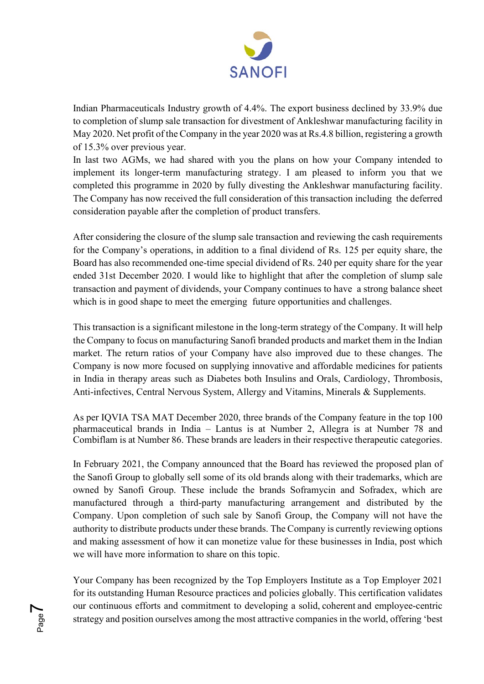

Indian Pharmaceuticals Industry growth of 4.4%. The export business declined by 33.9% due to completion of slump sale transaction for divestment of Ankleshwar manufacturing facility in May 2020. Net profit of the Company in the year 2020 was at Rs.4.8 billion, registering a growth of 15.3% over previous year.

In last two AGMs, we had shared with you the plans on how your Company intended to implement its longer-term manufacturing strategy. I am pleased to inform you that we completed this programme in 2020 by fully divesting the Ankleshwar manufacturing facility. The Company has now received the full consideration of this transaction including the deferred consideration payable after the completion of product transfers.

After considering the closure of the slump sale transaction and reviewing the cash requirements for the Company's operations, in addition to a final dividend of Rs. 125 per equity share, the Board has also recommended one-time special dividend of Rs. 240 per equity share for the year ended 31st December 2020. I would like to highlight that after the completion of slump sale transaction and payment of dividends, your Company continues to have a strong balance sheet which is in good shape to meet the emerging future opportunities and challenges.

This transaction is a significant milestone in the long-term strategy of the Company. It will help the Company to focus on manufacturing Sanofi branded products and market them in the Indian market. The return ratios of your Company have also improved due to these changes. The Company is now more focused on supplying innovative and affordable medicines for patients in India in therapy areas such as Diabetes both Insulins and Orals, Cardiology, Thrombosis, Anti-infectives, Central Nervous System, Allergy and Vitamins, Minerals & Supplements.

As per IQVIA TSA MAT December 2020, three brands of the Company feature in the top 100 pharmaceutical brands in India – Lantus is at Number 2, Allegra is at Number 78 and Combiflam is at Number 86. These brands are leaders in their respective therapeutic categories.

In February 2021, the Company announced that the Board has reviewed the proposed plan of the Sanofi Group to globally sell some of its old brands along with their trademarks, which are owned by Sanofi Group. These include the brands Soframycin and Sofradex, which are manufactured through a third-party manufacturing arrangement and distributed by the Company. Upon completion of such sale by Sanofi Group, the Company will not have the authority to distribute products under these brands. The Company is currently reviewing options and making assessment of how it can monetize value for these businesses in India, post which we will have more information to share on this topic.

Your Company has been recognized by the Top Employers Institute as a Top Employer 2021 for its outstanding Human Resource practices and policies globally. This certification validates our continuous efforts and commitment to developing a solid, coherent and employee-centric strategy and position ourselves among the most attractive companies in the world, offering 'best

Page  $\blacktriangleright$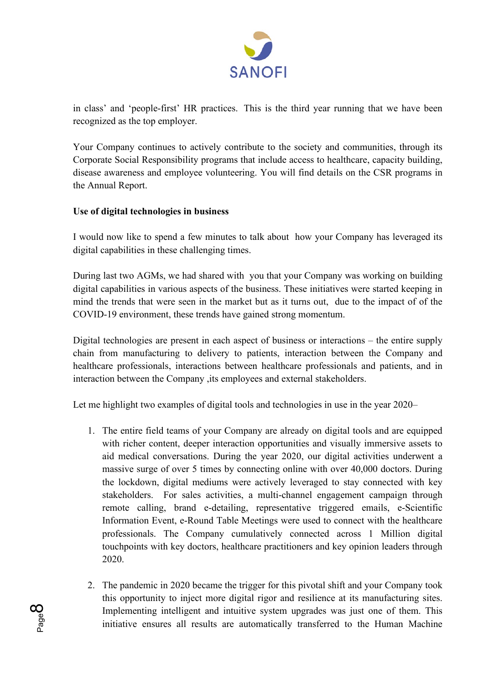

in class' and 'people-first' HR practices.  This is the third year running that we have been recognized as the top employer.

Your Company continues to actively contribute to the society and communities, through its Corporate Social Responsibility programs that include access to healthcare, capacity building, disease awareness and employee volunteering. You will find details on the CSR programs in the Annual Report.

## **Use of digital technologies in business**

I would now like to spend a few minutes to talk about how your Company has leveraged its digital capabilities in these challenging times.

During last two AGMs, we had shared with you that your Company was working on building digital capabilities in various aspects of the business. These initiatives were started keeping in mind the trends that were seen in the market but as it turns out, due to the impact of of the COVID-19 environment, these trends have gained strong momentum.

Digital technologies are present in each aspect of business or interactions – the entire supply chain from manufacturing to delivery to patients, interaction between the Company and healthcare professionals, interactions between healthcare professionals and patients, and in interaction between the Company ,its employees and external stakeholders.

Let me highlight two examples of digital tools and technologies in use in the year 2020–

- 1. The entire field teams of your Company are already on digital tools and are equipped with richer content, deeper interaction opportunities and visually immersive assets to aid medical conversations. During the year 2020, our digital activities underwent a massive surge of over 5 times by connecting online with over 40,000 doctors. During the lockdown, digital mediums were actively leveraged to stay connected with key stakeholders. For sales activities, a multi-channel engagement campaign through remote calling, brand e-detailing, representative triggered emails, e-Scientific Information Event, e-Round Table Meetings were used to connect with the healthcare professionals. The Company cumulatively connected across 1 Million digital touchpoints with key doctors, healthcare practitioners and key opinion leaders through 2020.
- 2. The pandemic in 2020 became the trigger for this pivotal shift and your Company took this opportunity to inject more digital rigor and resilience at its manufacturing sites. Implementing intelligent and intuitive system upgrades was just one of them. This initiative ensures all results are automatically transferred to the Human Machine

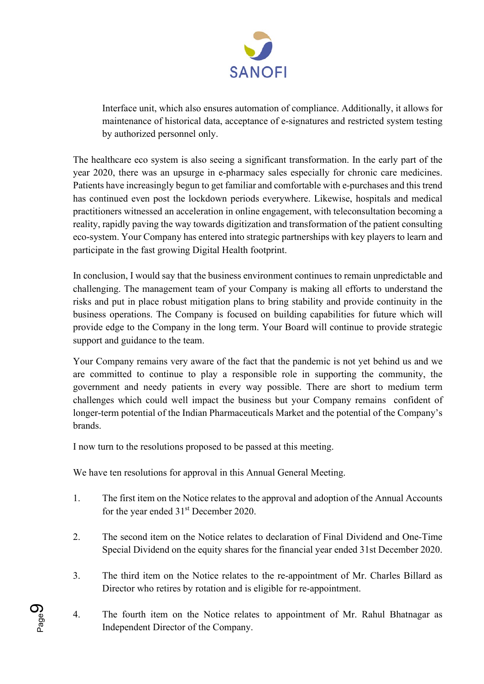

Interface unit, which also ensures automation of compliance. Additionally, it allows for maintenance of historical data, acceptance of e-signatures and restricted system testing by authorized personnel only.

The healthcare eco system is also seeing a significant transformation. In the early part of the year 2020, there was an upsurge in e-pharmacy sales especially for chronic care medicines. Patients have increasingly begun to get familiar and comfortable with e-purchases and this trend has continued even post the lockdown periods everywhere. Likewise, hospitals and medical practitioners witnessed an acceleration in online engagement, with teleconsultation becoming a reality, rapidly paving the way towards digitization and transformation of the patient consulting eco-system. Your Company has entered into strategic partnerships with key players to learn and participate in the fast growing Digital Health footprint.

In conclusion, I would say that the business environment continues to remain unpredictable and challenging. The management team of your Company is making all efforts to understand the risks and put in place robust mitigation plans to bring stability and provide continuity in the business operations. The Company is focused on building capabilities for future which will provide edge to the Company in the long term. Your Board will continue to provide strategic support and guidance to the team.

Your Company remains very aware of the fact that the pandemic is not yet behind us and we are committed to continue to play a responsible role in supporting the community, the government and needy patients in every way possible. There are short to medium term challenges which could well impact the business but your Company remains confident of longer-term potential of the Indian Pharmaceuticals Market and the potential of the Company's brands.

I now turn to the resolutions proposed to be passed at this meeting.

We have ten resolutions for approval in this Annual General Meeting.

- 1. The first item on the Notice relates to the approval and adoption of the Annual Accounts for the year ended 31<sup>st</sup> December 2020.
- 2. The second item on the Notice relates to declaration of Final Dividend and One-Time Special Dividend on the equity shares for the financial year ended 31st December 2020.
- 3. The third item on the Notice relates to the re-appointment of Mr. Charles Billard as Director who retires by rotation and is eligible for re-appointment.
- 4. The fourth item on the Notice relates to appointment of Mr. Rahul Bhatnagar as Independent Director of the Company.

Page <u>တ</u>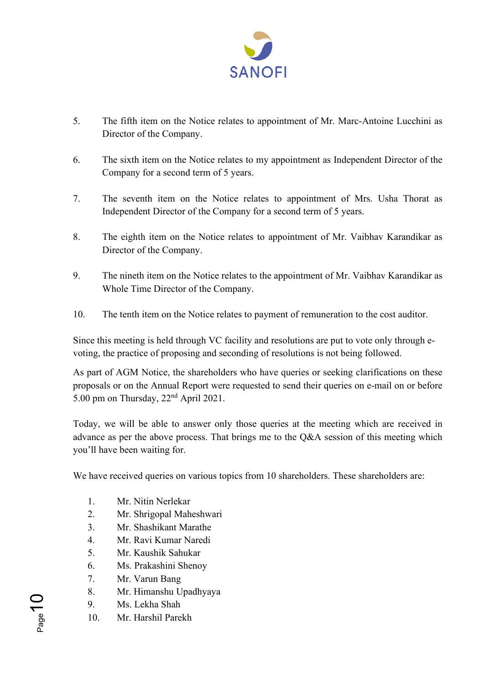

- 5. The fifth item on the Notice relates to appointment of Mr. Marc-Antoine Lucchini as Director of the Company.
- 6. The sixth item on the Notice relates to my appointment as Independent Director of the Company for a second term of 5 years.
- 7. The seventh item on the Notice relates to appointment of Mrs. Usha Thorat as Independent Director of the Company for a second term of 5 years.
- 8. The eighth item on the Notice relates to appointment of Mr. Vaibhav Karandikar as Director of the Company.
- 9. The nineth item on the Notice relates to the appointment of Mr. Vaibhav Karandikar as Whole Time Director of the Company.
- 10. The tenth item on the Notice relates to payment of remuneration to the cost auditor.

Since this meeting is held through VC facility and resolutions are put to vote only through evoting, the practice of proposing and seconding of resolutions is not being followed.

As part of AGM Notice, the shareholders who have queries or seeking clarifications on these proposals or on the Annual Report were requested to send their queries on e-mail on or before 5.00 pm on Thursday, 22nd April 2021.

Today, we will be able to answer only those queries at the meeting which are received in advance as per the above process. That brings me to the Q&A session of this meeting which you'll have been waiting for.

We have received queries on various topics from 10 shareholders. These shareholders are:

- 1. Mr. Nitin Nerlekar
- 2. Mr. Shrigopal Maheshwari
- 3. Mr. Shashikant Marathe
- 4. Mr. Ravi Kumar Naredi
- 5. Mr. Kaushik Sahukar
- 6. Ms. Prakashini Shenoy
- 7. Mr. Varun Bang
- 8. Mr. Himanshu Upadhyaya
- 9. Ms. Lekha Shah
- 10. Mr. Harshil Parekh

Page 1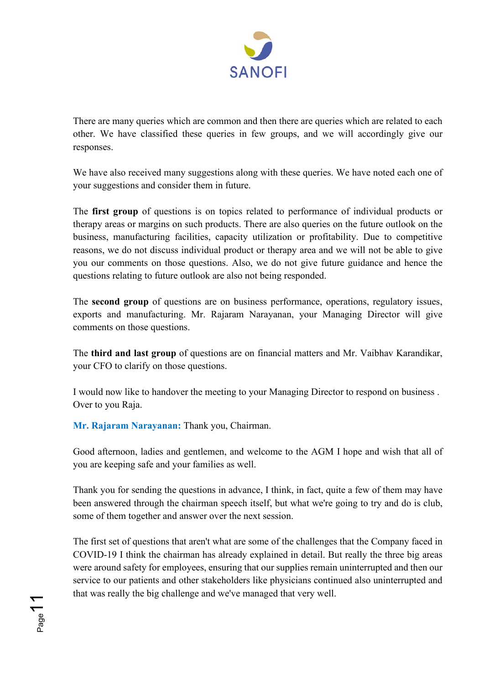

There are many queries which are common and then there are queries which are related to each other. We have classified these queries in few groups, and we will accordingly give our responses.

We have also received many suggestions along with these queries. We have noted each one of your suggestions and consider them in future.

The **first group** of questions is on topics related to performance of individual products or therapy areas or margins on such products. There are also queries on the future outlook on the business, manufacturing facilities, capacity utilization or profitability. Due to competitive reasons, we do not discuss individual product or therapy area and we will not be able to give you our comments on those questions. Also, we do not give future guidance and hence the questions relating to future outlook are also not being responded.

The **second group** of questions are on business performance, operations, regulatory issues, exports and manufacturing. Mr. Rajaram Narayanan, your Managing Director will give comments on those questions.

The **third and last group** of questions are on financial matters and Mr. Vaibhav Karandikar, your CFO to clarify on those questions.

I would now like to handover the meeting to your Managing Director to respond on business . Over to you Raja.

**Mr. Rajaram Narayanan:** Thank you, Chairman.

Page11

Good afternoon, ladies and gentlemen, and welcome to the AGM I hope and wish that all of you are keeping safe and your families as well.

Thank you for sending the questions in advance, I think, in fact, quite a few of them may have been answered through the chairman speech itself, but what we're going to try and do is club, some of them together and answer over the next session.

The first set of questions that aren't what are some of the challenges that the Company faced in COVID-19 I think the chairman has already explained in detail. But really the three big areas were around safety for employees, ensuring that our supplies remain uninterrupted and then our service to our patients and other stakeholders like physicians continued also uninterrupted and that was really the big challenge and we've managed that very well.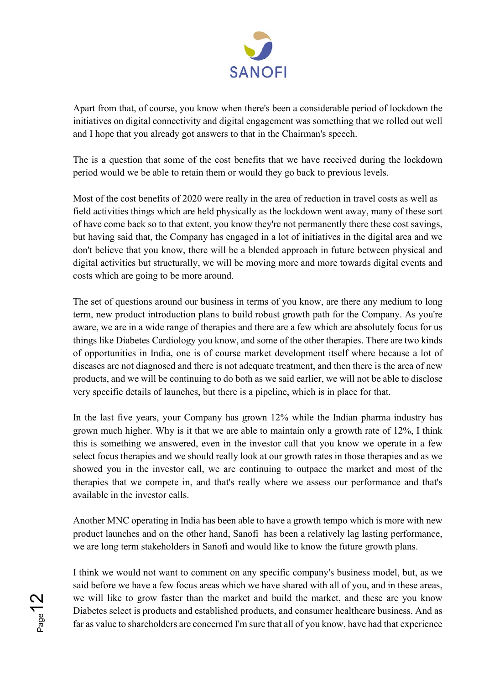

Apart from that, of course, you know when there's been a considerable period of lockdown the initiatives on digital connectivity and digital engagement was something that we rolled out well and I hope that you already got answers to that in the Chairman's speech.

The is a question that some of the cost benefits that we have received during the lockdown period would we be able to retain them or would they go back to previous levels.

Most of the cost benefits of 2020 were really in the area of reduction in travel costs as well as field activities things which are held physically as the lockdown went away, many of these sort of have come back so to that extent, you know they're not permanently there these cost savings, but having said that, the Company has engaged in a lot of initiatives in the digital area and we don't believe that you know, there will be a blended approach in future between physical and digital activities but structurally, we will be moving more and more towards digital events and costs which are going to be more around.

The set of questions around our business in terms of you know, are there any medium to long term, new product introduction plans to build robust growth path for the Company. As you're aware, we are in a wide range of therapies and there are a few which are absolutely focus for us things like Diabetes Cardiology you know, and some of the other therapies. There are two kinds of opportunities in India, one is of course market development itself where because a lot of diseases are not diagnosed and there is not adequate treatment, and then there is the area of new products, and we will be continuing to do both as we said earlier, we will not be able to disclose very specific details of launches, but there is a pipeline, which is in place for that.

In the last five years, your Company has grown 12% while the Indian pharma industry has grown much higher. Why is it that we are able to maintain only a growth rate of 12%, I think this is something we answered, even in the investor call that you know we operate in a few select focus therapies and we should really look at our growth rates in those therapies and as we showed you in the investor call, we are continuing to outpace the market and most of the therapies that we compete in, and that's really where we assess our performance and that's available in the investor calls.

Another MNC operating in India has been able to have a growth tempo which is more with new product launches and on the other hand, Sanofi has been a relatively lag lasting performance, we are long term stakeholders in Sanofi and would like to know the future growth plans.

I think we would not want to comment on any specific company's business model, but, as we said before we have a few focus areas which we have shared with all of you, and in these areas, we will like to grow faster than the market and build the market, and these are you know Diabetes select is products and established products, and consumer healthcare business. And as far as value to shareholders are concerned I'm sure that all of you know, have had that experience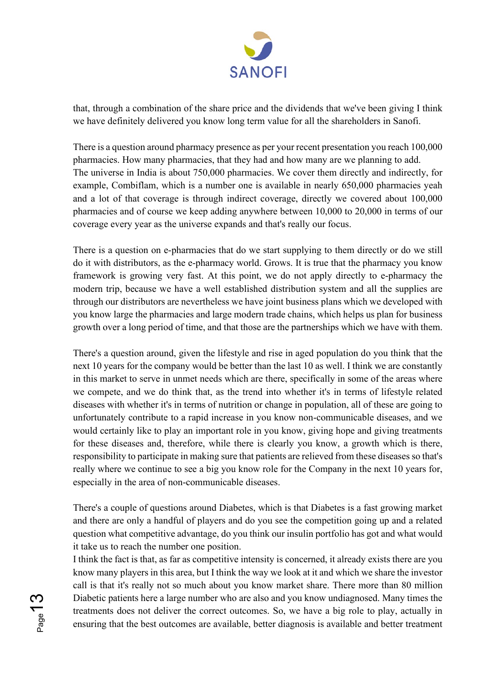

that, through a combination of the share price and the dividends that we've been giving I think we have definitely delivered you know long term value for all the shareholders in Sanofi.

There is a question around pharmacy presence as per your recent presentation you reach 100,000 pharmacies. How many pharmacies, that they had and how many are we planning to add. The universe in India is about 750,000 pharmacies. We cover them directly and indirectly, for example, Combiflam, which is a number one is available in nearly 650,000 pharmacies yeah and a lot of that coverage is through indirect coverage, directly we covered about 100,000 pharmacies and of course we keep adding anywhere between 10,000 to 20,000 in terms of our coverage every year as the universe expands and that's really our focus.

There is a question on e-pharmacies that do we start supplying to them directly or do we still do it with distributors, as the e-pharmacy world. Grows. It is true that the pharmacy you know framework is growing very fast. At this point, we do not apply directly to e-pharmacy the modern trip, because we have a well established distribution system and all the supplies are through our distributors are nevertheless we have joint business plans which we developed with you know large the pharmacies and large modern trade chains, which helps us plan for business growth over a long period of time, and that those are the partnerships which we have with them.

There's a question around, given the lifestyle and rise in aged population do you think that the next 10 years for the company would be better than the last 10 as well. I think we are constantly in this market to serve in unmet needs which are there, specifically in some of the areas where we compete, and we do think that, as the trend into whether it's in terms of lifestyle related diseases with whether it's in terms of nutrition or change in population, all of these are going to unfortunately contribute to a rapid increase in you know non-communicable diseases, and we would certainly like to play an important role in you know, giving hope and giving treatments for these diseases and, therefore, while there is clearly you know, a growth which is there, responsibility to participate in making sure that patients are relieved from these diseases so that's really where we continue to see a big you know role for the Company in the next 10 years for, especially in the area of non-communicable diseases.

There's a couple of questions around Diabetes, which is that Diabetes is a fast growing market and there are only a handful of players and do you see the competition going up and a related question what competitive advantage, do you think our insulin portfolio has got and what would it take us to reach the number one position.

I think the fact is that, as far as competitive intensity is concerned, it already exists there are you know many players in this area, but I think the way we look at it and which we share the investor call is that it's really not so much about you know market share. There more than 80 million Diabetic patients here a large number who are also and you know undiagnosed. Many times the treatments does not deliver the correct outcomes. So, we have a big role to play, actually in ensuring that the best outcomes are available, better diagnosis is available and better treatment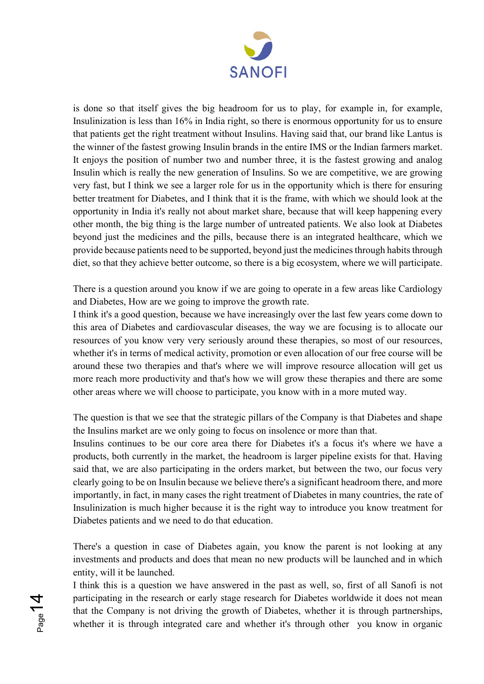

is done so that itself gives the big headroom for us to play, for example in, for example, Insulinization is less than 16% in India right, so there is enormous opportunity for us to ensure that patients get the right treatment without Insulins. Having said that, our brand like Lantus is the winner of the fastest growing Insulin brands in the entire IMS or the Indian farmers market. It enjoys the position of number two and number three, it is the fastest growing and analog Insulin which is really the new generation of Insulins. So we are competitive, we are growing very fast, but I think we see a larger role for us in the opportunity which is there for ensuring better treatment for Diabetes, and I think that it is the frame, with which we should look at the opportunity in India it's really not about market share, because that will keep happening every other month, the big thing is the large number of untreated patients. We also look at Diabetes beyond just the medicines and the pills, because there is an integrated healthcare, which we provide because patients need to be supported, beyond just the medicines through habits through diet, so that they achieve better outcome, so there is a big ecosystem, where we will participate.

There is a question around you know if we are going to operate in a few areas like Cardiology and Diabetes, How are we going to improve the growth rate.

I think it's a good question, because we have increasingly over the last few years come down to this area of Diabetes and cardiovascular diseases, the way we are focusing is to allocate our resources of you know very very seriously around these therapies, so most of our resources, whether it's in terms of medical activity, promotion or even allocation of our free course will be around these two therapies and that's where we will improve resource allocation will get us more reach more productivity and that's how we will grow these therapies and there are some other areas where we will choose to participate, you know with in a more muted way.

The question is that we see that the strategic pillars of the Company is that Diabetes and shape the Insulins market are we only going to focus on insolence or more than that.

Insulins continues to be our core area there for Diabetes it's a focus it's where we have a products, both currently in the market, the headroom is larger pipeline exists for that. Having said that, we are also participating in the orders market, but between the two, our focus very clearly going to be on Insulin because we believe there's a significant headroom there, and more importantly, in fact, in many cases the right treatment of Diabetes in many countries, the rate of Insulinization is much higher because it is the right way to introduce you know treatment for Diabetes patients and we need to do that education.

There's a question in case of Diabetes again, you know the parent is not looking at any investments and products and does that mean no new products will be launched and in which entity, will it be launched.

I think this is a question we have answered in the past as well, so, first of all Sanofi is not participating in the research or early stage research for Diabetes worldwide it does not mean that the Company is not driving the growth of Diabetes, whether it is through partnerships, whether it is through integrated care and whether it's through other you know in organic

Page 14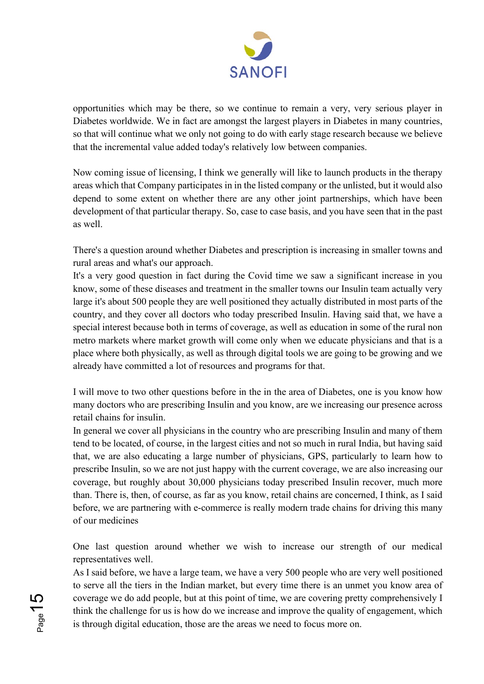

opportunities which may be there, so we continue to remain a very, very serious player in Diabetes worldwide. We in fact are amongst the largest players in Diabetes in many countries, so that will continue what we only not going to do with early stage research because we believe that the incremental value added today's relatively low between companies.

Now coming issue of licensing, I think we generally will like to launch products in the therapy areas which that Company participates in in the listed company or the unlisted, but it would also depend to some extent on whether there are any other joint partnerships, which have been development of that particular therapy. So, case to case basis, and you have seen that in the past as well.

There's a question around whether Diabetes and prescription is increasing in smaller towns and rural areas and what's our approach.

It's a very good question in fact during the Covid time we saw a significant increase in you know, some of these diseases and treatment in the smaller towns our Insulin team actually very large it's about 500 people they are well positioned they actually distributed in most parts of the country, and they cover all doctors who today prescribed Insulin. Having said that, we have a special interest because both in terms of coverage, as well as education in some of the rural non metro markets where market growth will come only when we educate physicians and that is a place where both physically, as well as through digital tools we are going to be growing and we already have committed a lot of resources and programs for that.

I will move to two other questions before in the in the area of Diabetes, one is you know how many doctors who are prescribing Insulin and you know, are we increasing our presence across retail chains for insulin.

In general we cover all physicians in the country who are prescribing Insulin and many of them tend to be located, of course, in the largest cities and not so much in rural India, but having said that, we are also educating a large number of physicians, GPS, particularly to learn how to prescribe Insulin, so we are not just happy with the current coverage, we are also increasing our coverage, but roughly about 30,000 physicians today prescribed Insulin recover, much more than. There is, then, of course, as far as you know, retail chains are concerned, I think, as I said before, we are partnering with e-commerce is really modern trade chains for driving this many of our medicines

One last question around whether we wish to increase our strength of our medical representatives well.

As I said before, we have a large team, we have a very 500 people who are very well positioned to serve all the tiers in the Indian market, but every time there is an unmet you know area of coverage we do add people, but at this point of time, we are covering pretty comprehensively I think the challenge for us is how do we increase and improve the quality of engagement, which is through digital education, those are the areas we need to focus more on.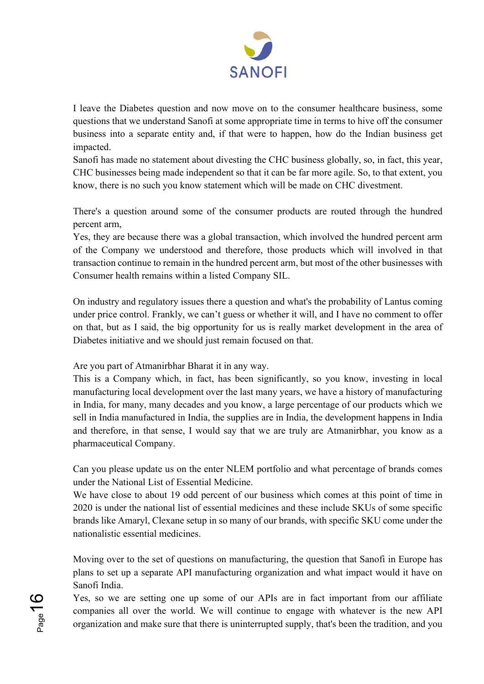

I leave the Diabetes question and now move on to the consumer healthcare business, some questions that we understand Sanofi at some appropriate time in terms to hive off the consumer business into a separate entity and, if that were to happen, how do the Indian business get impacted.

Sanofi has made no statement about divesting the CHC business globally, so, in fact, this year, CHC businesses being made independent so that it can be far more agile. So, to that extent, you know, there is no such you know statement which will be made on CHC divestment.

There's a question around some of the consumer products are routed through the hundred percent arm,

Yes, they are because there was a global transaction, which involved the hundred percent arm of the Company we understood and therefore, those products which will involved in that transaction continue to remain in the hundred percent arm, but most of the other businesses with Consumer health remains within a listed Company SIL.

On industry and regulatory issues there a question and what's the probability of Lantus coming under price control. Frankly, we can't guess or whether it will, and I have no comment to offer on that, but as I said, the big opportunity for us is really market development in the area of Diabetes initiative and we should just remain focused on that.

Are you part of Atmanirbhar Bharat it in any way.

This is a Company which, in fact, has been significantly, so you know, investing in local manufacturing local development over the last many years, we have a history of manufacturing in India, for many, many decades and you know, a large percentage of our products which we sell in India manufactured in India, the supplies are in India, the development happens in India and therefore, in that sense, I would say that we are truly are Atmanirbhar, you know as a pharmaceutical Company.

Can you please update us on the enter NLEM portfolio and what percentage of brands comes under the National List of Essential Medicine.

We have close to about 19 odd percent of our business which comes at this point of time in 2020 is under the national list of essential medicines and these include SKUs of some specific brands like Amaryl, Clexane setup in so many of our brands, with specific SKU come under the nationalistic essential medicines.

Moving over to the set of questions on manufacturing, the question that Sanofi in Europe has plans to set up a separate API manufacturing organization and what impact would it have on Sanofi India.

Yes, so we are setting one up some of our APIs are in fact important from our affiliate companies all over the world. We will continue to engage with whatever is the new API organization and make sure that there is uninterrupted supply, that's been the tradition, and you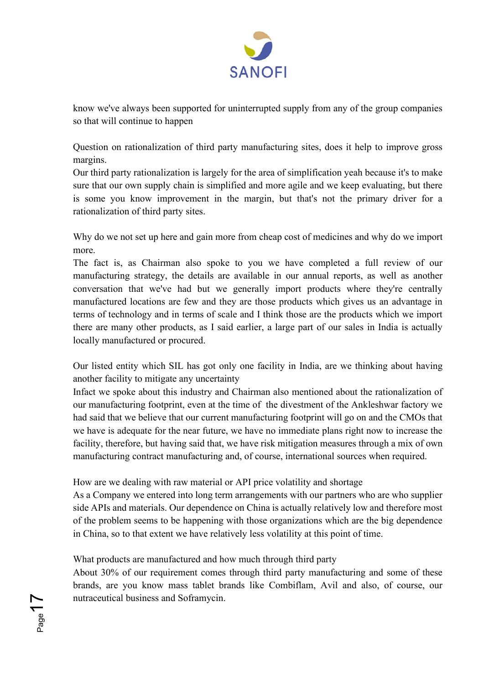

know we've always been supported for uninterrupted supply from any of the group companies so that will continue to happen

Question on rationalization of third party manufacturing sites, does it help to improve gross margins.

Our third party rationalization is largely for the area of simplification yeah because it's to make sure that our own supply chain is simplified and more agile and we keep evaluating, but there is some you know improvement in the margin, but that's not the primary driver for a rationalization of third party sites.

Why do we not set up here and gain more from cheap cost of medicines and why do we import more.

The fact is, as Chairman also spoke to you we have completed a full review of our manufacturing strategy, the details are available in our annual reports, as well as another conversation that we've had but we generally import products where they're centrally manufactured locations are few and they are those products which gives us an advantage in terms of technology and in terms of scale and I think those are the products which we import there are many other products, as I said earlier, a large part of our sales in India is actually locally manufactured or procured.

Our listed entity which SIL has got only one facility in India, are we thinking about having another facility to mitigate any uncertainty

Infact we spoke about this industry and Chairman also mentioned about the rationalization of our manufacturing footprint, even at the time of the divestment of the Ankleshwar factory we had said that we believe that our current manufacturing footprint will go on and the CMOs that we have is adequate for the near future, we have no immediate plans right now to increase the facility, therefore, but having said that, we have risk mitigation measures through a mix of own manufacturing contract manufacturing and, of course, international sources when required.

### How are we dealing with raw material or API price volatility and shortage

As a Company we entered into long term arrangements with our partners who are who supplier side APIs and materials. Our dependence on China is actually relatively low and therefore most of the problem seems to be happening with those organizations which are the big dependence in China, so to that extent we have relatively less volatility at this point of time.

# What products are manufactured and how much through third party

Page<sup>1</sup>

About 30% of our requirement comes through third party manufacturing and some of these brands, are you know mass tablet brands like Combiflam, Avil and also, of course, our nutraceutical business and Soframycin.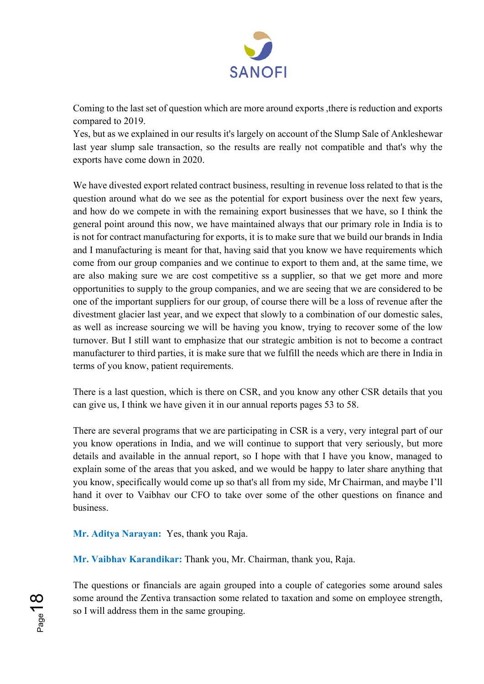

Coming to the last set of question which are more around exports ,there is reduction and exports compared to 2019.

Yes, but as we explained in our results it's largely on account of the Slump Sale of Ankleshewar last year slump sale transaction, so the results are really not compatible and that's why the exports have come down in 2020.

We have divested export related contract business, resulting in revenue loss related to that is the question around what do we see as the potential for export business over the next few years, and how do we compete in with the remaining export businesses that we have, so I think the general point around this now, we have maintained always that our primary role in India is to is not for contract manufacturing for exports, it is to make sure that we build our brands in India and I manufacturing is meant for that, having said that you know we have requirements which come from our group companies and we continue to export to them and, at the same time, we are also making sure we are cost competitive ss a supplier, so that we get more and more opportunities to supply to the group companies, and we are seeing that we are considered to be one of the important suppliers for our group, of course there will be a loss of revenue after the divestment glacier last year, and we expect that slowly to a combination of our domestic sales, as well as increase sourcing we will be having you know, trying to recover some of the low turnover. But I still want to emphasize that our strategic ambition is not to become a contract manufacturer to third parties, it is make sure that we fulfill the needs which are there in India in terms of you know, patient requirements.

There is a last question, which is there on CSR, and you know any other CSR details that you can give us, I think we have given it in our annual reports pages 53 to 58.

There are several programs that we are participating in CSR is a very, very integral part of our you know operations in India, and we will continue to support that very seriously, but more details and available in the annual report, so I hope with that I have you know, managed to explain some of the areas that you asked, and we would be happy to later share anything that you know, specifically would come up so that's all from my side, Mr Chairman, and maybe I'll hand it over to Vaibhav our CFO to take over some of the other questions on finance and business.

**Mr. Aditya Narayan:** Yes, thank you Raja.

**Mr. Vaibhav Karandikar:** Thank you, Mr. Chairman, thank you, Raja.

The questions or financials are again grouped into a couple of categories some around sales some around the Zentiva transaction some related to taxation and some on employee strength, so I will address them in the same grouping.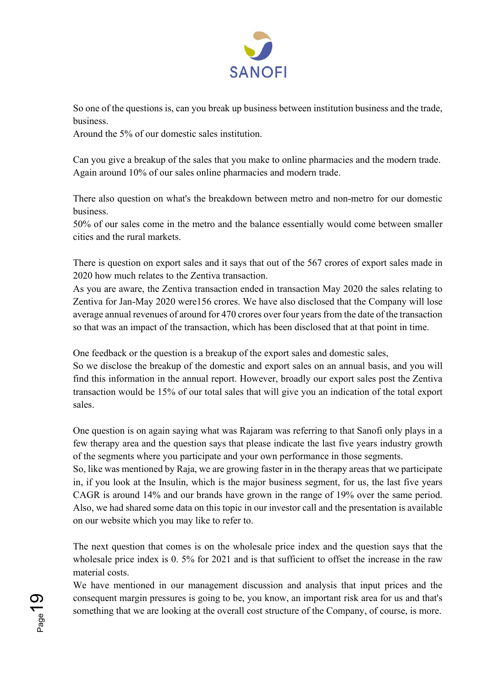

So one of the questions is, can you break up business between institution business and the trade, business.

Around the 5% of our domestic sales institution.

Can you give a breakup of the sales that you make to online pharmacies and the modern trade. Again around 10% of our sales online pharmacies and modern trade.

There also question on what's the breakdown between metro and non-metro for our domestic business.

50% of our sales come in the metro and the balance essentially would come between smaller cities and the rural markets.

There is question on export sales and it says that out of the 567 crores of export sales made in 2020 how much relates to the Zentiva transaction.

As you are aware, the Zentiva transaction ended in transaction May 2020 the sales relating to Zentiva for Jan-May 2020 were156 crores. We have also disclosed that the Company will lose average annual revenues of around for 470 crores over four years from the date of the transaction so that was an impact of the transaction, which has been disclosed that at that point in time.

One feedback or the question is a breakup of the export sales and domestic sales,

So we disclose the breakup of the domestic and export sales on an annual basis, and you will find this information in the annual report. However, broadly our export sales post the Zentiva transaction would be 15% of our total sales that will give you an indication of the total export sales.

One question is on again saying what was Rajaram was referring to that Sanofi only plays in a few therapy area and the question says that please indicate the last five years industry growth of the segments where you participate and your own performance in those segments.

So, like was mentioned by Raja, we are growing faster in in the therapy areas that we participate in, if you look at the Insulin, which is the major business segment, for us, the last five years CAGR is around 14% and our brands have grown in the range of 19% over the same period. Also, we had shared some data on this topic in our investor call and the presentation is available on our website which you may like to refer to.

The next question that comes is on the wholesale price index and the question says that the wholesale price index is 0. 5% for 2021 and is that sufficient to offset the increase in the raw material costs.

We have mentioned in our management discussion and analysis that input prices and the consequent margin pressures is going to be, you know, an important risk area for us and that's something that we are looking at the overall cost structure of the Company, of course, is more.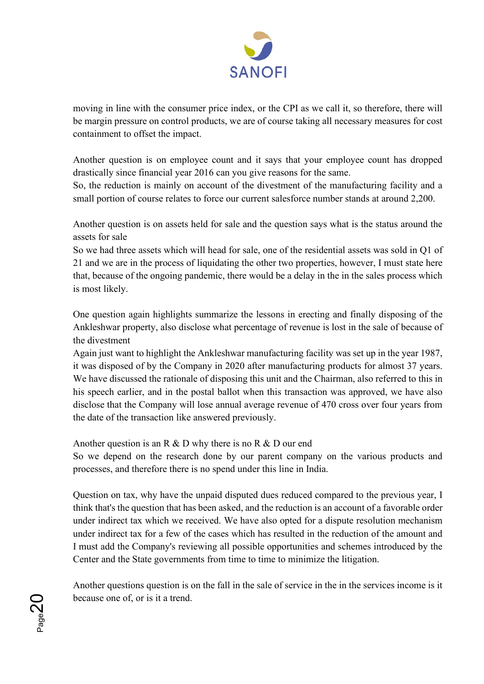

moving in line with the consumer price index, or the CPI as we call it, so therefore, there will be margin pressure on control products, we are of course taking all necessary measures for cost containment to offset the impact.

Another question is on employee count and it says that your employee count has dropped drastically since financial year 2016 can you give reasons for the same.

So, the reduction is mainly on account of the divestment of the manufacturing facility and a small portion of course relates to force our current salesforce number stands at around 2,200.

Another question is on assets held for sale and the question says what is the status around the assets for sale

So we had three assets which will head for sale, one of the residential assets was sold in Q1 of 21 and we are in the process of liquidating the other two properties, however, I must state here that, because of the ongoing pandemic, there would be a delay in the in the sales process which is most likely.

One question again highlights summarize the lessons in erecting and finally disposing of the Ankleshwar property, also disclose what percentage of revenue is lost in the sale of because of the divestment

Again just want to highlight the Ankleshwar manufacturing facility was set up in the year 1987, it was disposed of by the Company in 2020 after manufacturing products for almost 37 years. We have discussed the rationale of disposing this unit and the Chairman, also referred to this in his speech earlier, and in the postal ballot when this transaction was approved, we have also disclose that the Company will lose annual average revenue of 470 cross over four years from the date of the transaction like answered previously.

Another question is an R & D why there is no R & D our end

 $D_{\sf age2}$ 

So we depend on the research done by our parent company on the various products and processes, and therefore there is no spend under this line in India.

Question on tax, why have the unpaid disputed dues reduced compared to the previous year, I think that's the question that has been asked, and the reduction is an account of a favorable order under indirect tax which we received. We have also opted for a dispute resolution mechanism under indirect tax for a few of the cases which has resulted in the reduction of the amount and I must add the Company's reviewing all possible opportunities and schemes introduced by the Center and the State governments from time to time to minimize the litigation.

Another questions question is on the fall in the sale of service in the in the services income is it because one of, or is it a trend.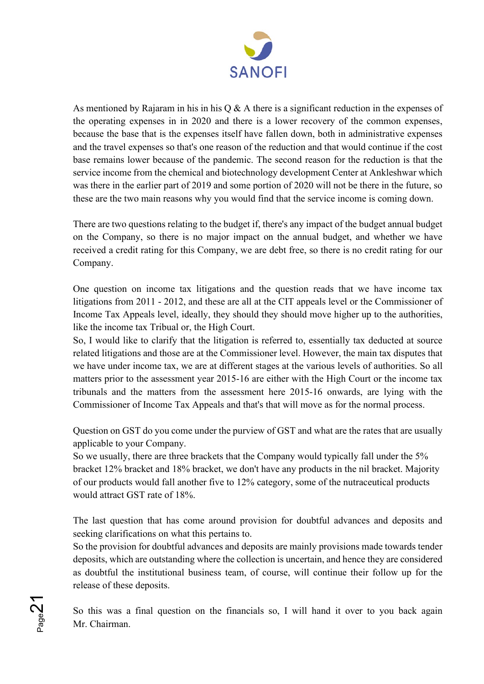

As mentioned by Rajaram in his in his  $Q \& A$  there is a significant reduction in the expenses of the operating expenses in in 2020 and there is a lower recovery of the common expenses, because the base that is the expenses itself have fallen down, both in administrative expenses and the travel expenses so that's one reason of the reduction and that would continue if the cost base remains lower because of the pandemic. The second reason for the reduction is that the service income from the chemical and biotechnology development Center at Ankleshwar which was there in the earlier part of 2019 and some portion of 2020 will not be there in the future, so these are the two main reasons why you would find that the service income is coming down.

There are two questions relating to the budget if, there's any impact of the budget annual budget on the Company, so there is no major impact on the annual budget, and whether we have received a credit rating for this Company, we are debt free, so there is no credit rating for our Company.

One question on income tax litigations and the question reads that we have income tax litigations from 2011 - 2012, and these are all at the CIT appeals level or the Commissioner of Income Tax Appeals level, ideally, they should they should move higher up to the authorities, like the income tax Tribual or, the High Court.

So, I would like to clarify that the litigation is referred to, essentially tax deducted at source related litigations and those are at the Commissioner level. However, the main tax disputes that we have under income tax, we are at different stages at the various levels of authorities. So all matters prior to the assessment year 2015-16 are either with the High Court or the income tax tribunals and the matters from the assessment here 2015-16 onwards, are lying with the Commissioner of Income Tax Appeals and that's that will move as for the normal process.

Question on GST do you come under the purview of GST and what are the rates that are usually applicable to your Company.

So we usually, there are three brackets that the Company would typically fall under the 5% bracket 12% bracket and 18% bracket, we don't have any products in the nil bracket. Majority of our products would fall another five to 12% category, some of the nutraceutical products would attract GST rate of 18%.

The last question that has come around provision for doubtful advances and deposits and seeking clarifications on what this pertains to.

So the provision for doubtful advances and deposits are mainly provisions made towards tender deposits, which are outstanding where the collection is uncertain, and hence they are considered as doubtful the institutional business team, of course, will continue their follow up for the release of these deposits.

So this was a final question on the financials so, I will hand it over to you back again Mr. Chairman.

 $P_{\text{age}}$ 2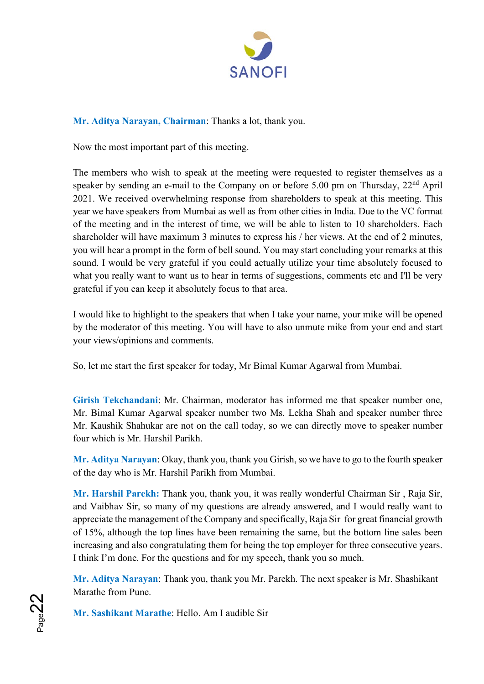

# **Mr. Aditya Narayan, Chairman**: Thanks a lot, thank you.

Now the most important part of this meeting.

The members who wish to speak at the meeting were requested to register themselves as a speaker by sending an e-mail to the Company on or before 5.00 pm on Thursday,  $22<sup>nd</sup>$  April 2021. We received overwhelming response from shareholders to speak at this meeting. This year we have speakers from Mumbai as well as from other cities in India. Due to the VC format of the meeting and in the interest of time, we will be able to listen to 10 shareholders. Each shareholder will have maximum 3 minutes to express his / her views. At the end of 2 minutes, you will hear a prompt in the form of bell sound. You may start concluding your remarks at this sound. I would be very grateful if you could actually utilize your time absolutely focused to what you really want to want us to hear in terms of suggestions, comments etc and I'll be very grateful if you can keep it absolutely focus to that area.

I would like to highlight to the speakers that when I take your name, your mike will be opened by the moderator of this meeting. You will have to also unmute mike from your end and start your views/opinions and comments.

So, let me start the first speaker for today, Mr Bimal Kumar Agarwal from Mumbai.

**Girish Tekchandani**: Mr. Chairman, moderator has informed me that speaker number one, Mr. Bimal Kumar Agarwal speaker number two Ms. Lekha Shah and speaker number three Mr. Kaushik Shahukar are not on the call today, so we can directly move to speaker number four which is Mr. Harshil Parikh.

**Mr. Aditya Narayan**: Okay, thank you, thank you Girish, so we have to go to the fourth speaker of the day who is Mr. Harshil Parikh from Mumbai.

**Mr. Harshil Parekh:** Thank you, thank you, it was really wonderful Chairman Sir , Raja Sir, and Vaibhav Sir, so many of my questions are already answered, and I would really want to appreciate the management of the Company and specifically, Raja Sir for great financial growth of 15%, although the top lines have been remaining the same, but the bottom line sales been increasing and also congratulating them for being the top employer for three consecutive years. I think I'm done. For the questions and for my speech, thank you so much.

**Mr. Aditya Narayan**: Thank you, thank you Mr. Parekh. The next speaker is Mr. Shashikant Marathe from Pune.

**Mr. Sashikant Marathe**: Hello. Am I audible Sir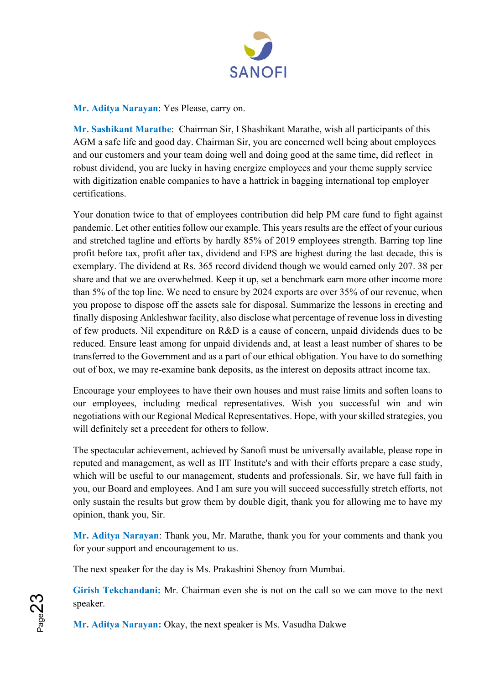

**Mr. Aditya Narayan**: Yes Please, carry on.

**Mr. Sashikant Marathe**: Chairman Sir, I Shashikant Marathe, wish all participants of this AGM a safe life and good day. Chairman Sir, you are concerned well being about employees and our customers and your team doing well and doing good at the same time, did reflect in robust dividend, you are lucky in having energize employees and your theme supply service with digitization enable companies to have a hattrick in bagging international top employer certifications.

Your donation twice to that of employees contribution did help PM care fund to fight against pandemic. Let other entities follow our example. This years results are the effect of your curious and stretched tagline and efforts by hardly 85% of 2019 employees strength. Barring top line profit before tax, profit after tax, dividend and EPS are highest during the last decade, this is exemplary. The dividend at Rs. 365 record dividend though we would earned only 207. 38 per share and that we are overwhelmed. Keep it up, set a benchmark earn more other income more than 5% of the top line. We need to ensure by 2024 exports are over 35% of our revenue, when you propose to dispose off the assets sale for disposal. Summarize the lessons in erecting and finally disposing Ankleshwar facility, also disclose what percentage of revenue loss in divesting of few products. Nil expenditure on R&D is a cause of concern, unpaid dividends dues to be reduced. Ensure least among for unpaid dividends and, at least a least number of shares to be transferred to the Government and as a part of our ethical obligation. You have to do something out of box, we may re-examine bank deposits, as the interest on deposits attract income tax.

Encourage your employees to have their own houses and must raise limits and soften loans to our employees, including medical representatives. Wish you successful win and win negotiations with our Regional Medical Representatives. Hope, with your skilled strategies, you will definitely set a precedent for others to follow.

The spectacular achievement, achieved by Sanofi must be universally available, please rope in reputed and management, as well as IIT Institute's and with their efforts prepare a case study, which will be useful to our management, students and professionals. Sir, we have full faith in you, our Board and employees. And I am sure you will succeed successfully stretch efforts, not only sustain the results but grow them by double digit, thank you for allowing me to have my opinion, thank you, Sir.

**Mr. Aditya Narayan**: Thank you, Mr. Marathe, thank you for your comments and thank you for your support and encouragement to us.

The next speaker for the day is Ms. Prakashini Shenoy from Mumbai.

**Girish Tekchandani:** Mr. Chairman even she is not on the call so we can move to the next speaker.

**Mr. Aditya Narayan:** Okay, the next speaker is Ms. Vasudha Dakwe

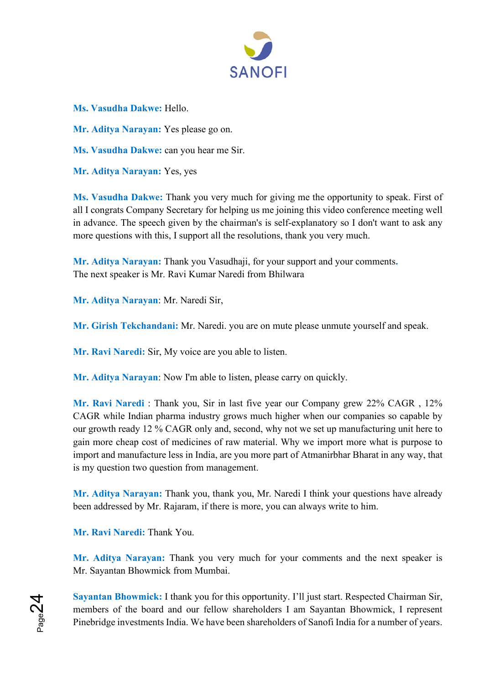

**Ms. Vasudha Dakwe:** Hello.

**Mr. Aditya Narayan:** Yes please go on.

**Ms. Vasudha Dakwe:** can you hear me Sir.

**Mr. Aditya Narayan:** Yes, yes

**Ms. Vasudha Dakwe:** Thank you very much for giving me the opportunity to speak. First of all I congrats Company Secretary for helping us me joining this video conference meeting well in advance. The speech given by the chairman's is self-explanatory so I don't want to ask any more questions with this, I support all the resolutions, thank you very much.

**Mr. Aditya Narayan:** Thank you Vasudhaji, for your support and your comments**.** The next speaker is Mr. Ravi Kumar Naredi from Bhilwara

**Mr. Aditya Narayan**: Mr. Naredi Sir,

**Mr. Girish Tekchandani:** Mr. Naredi. you are on mute please unmute yourself and speak.

**Mr. Ravi Naredi:** Sir, My voice are you able to listen.

**Mr. Aditya Narayan**: Now I'm able to listen, please carry on quickly.

**Mr. Ravi Naredi** : Thank you, Sir in last five year our Company grew 22% CAGR , 12% CAGR while Indian pharma industry grows much higher when our companies so capable by our growth ready 12 % CAGR only and, second, why not we set up manufacturing unit here to gain more cheap cost of medicines of raw material. Why we import more what is purpose to import and manufacture less in India, are you more part of Atmanirbhar Bharat in any way, that is my question two question from management.

**Mr. Aditya Narayan:** Thank you, thank you, Mr. Naredi I think your questions have already been addressed by Mr. Rajaram, if there is more, you can always write to him.

**Mr. Ravi Naredi:** Thank You.

 $P_{\sf age}$ 24

**Mr. Aditya Narayan:** Thank you very much for your comments and the next speaker is Mr. Sayantan Bhowmick from Mumbai.

**Sayantan Bhowmick:** I thank you for this opportunity. I'll just start. Respected Chairman Sir, members of the board and our fellow shareholders I am Sayantan Bhowmick, I represent Pinebridge investments India. We have been shareholders of Sanofi India for a number of years.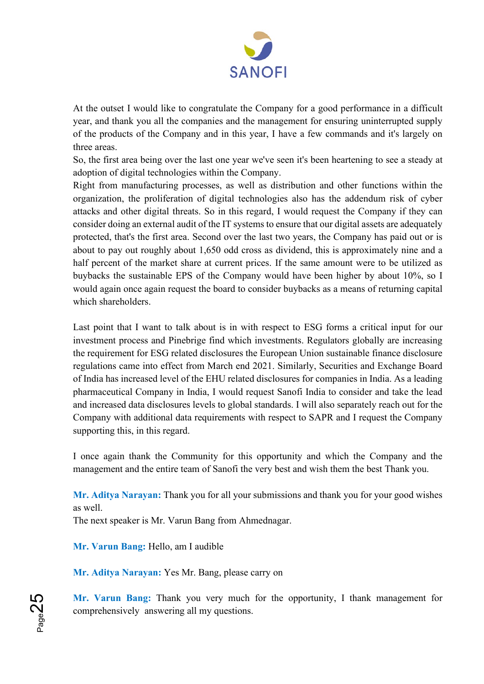

At the outset I would like to congratulate the Company for a good performance in a difficult year, and thank you all the companies and the management for ensuring uninterrupted supply of the products of the Company and in this year, I have a few commands and it's largely on three areas.

So, the first area being over the last one year we've seen it's been heartening to see a steady at adoption of digital technologies within the Company.

Right from manufacturing processes, as well as distribution and other functions within the organization, the proliferation of digital technologies also has the addendum risk of cyber attacks and other digital threats. So in this regard, I would request the Company if they can consider doing an external audit of the IT systems to ensure that our digital assets are adequately protected, that's the first area. Second over the last two years, the Company has paid out or is about to pay out roughly about 1,650 odd cross as dividend, this is approximately nine and a half percent of the market share at current prices. If the same amount were to be utilized as buybacks the sustainable EPS of the Company would have been higher by about 10%, so I would again once again request the board to consider buybacks as a means of returning capital which shareholders.

Last point that I want to talk about is in with respect to ESG forms a critical input for our investment process and Pinebrige find which investments. Regulators globally are increasing the requirement for ESG related disclosures the European Union sustainable finance disclosure regulations came into effect from March end 2021. Similarly, Securities and Exchange Board of India has increased level of the EHU related disclosures for companies in India. As a leading pharmaceutical Company in India, I would request Sanofi India to consider and take the lead and increased data disclosures levels to global standards. I will also separately reach out for the Company with additional data requirements with respect to SAPR and I request the Company supporting this, in this regard.

I once again thank the Community for this opportunity and which the Company and the management and the entire team of Sanofi the very best and wish them the best Thank you.

**Mr. Aditya Narayan:** Thank you for all your submissions and thank you for your good wishes as well.

The next speaker is Mr. Varun Bang from Ahmednagar.

**Mr. Varun Bang:** Hello, am I audible

**Mr. Aditya Narayan:** Yes Mr. Bang, please carry on

**Mr. Varun Bang:** Thank you very much for the opportunity, I thank management for comprehensively answering all my questions.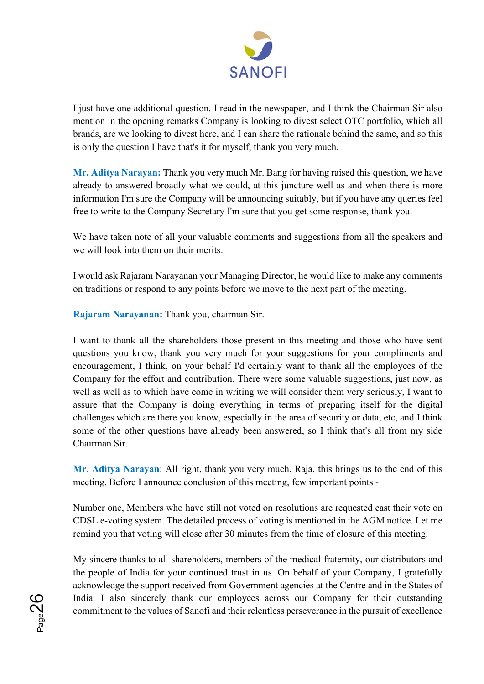

I just have one additional question. I read in the newspaper, and I think the Chairman Sir also mention in the opening remarks Company is looking to divest select OTC portfolio, which all brands, are we looking to divest here, and I can share the rationale behind the same, and so this is only the question I have that's it for myself, thank you very much.

**Mr. Aditya Narayan:** Thank you very much Mr. Bang for having raised this question, we have already to answered broadly what we could, at this juncture well as and when there is more information I'm sure the Company will be announcing suitably, but if you have any queries feel free to write to the Company Secretary I'm sure that you get some response, thank you.

We have taken note of all your valuable comments and suggestions from all the speakers and we will look into them on their merits.

I would ask Rajaram Narayanan your Managing Director, he would like to make any comments on traditions or respond to any points before we move to the next part of the meeting.

**Rajaram Narayanan:** Thank you, chairman Sir.

I want to thank all the shareholders those present in this meeting and those who have sent questions you know, thank you very much for your suggestions for your compliments and encouragement, I think, on your behalf I'd certainly want to thank all the employees of the Company for the effort and contribution. There were some valuable suggestions, just now, as well as well as to which have come in writing we will consider them very seriously, I want to assure that the Company is doing everything in terms of preparing itself for the digital challenges which are there you know, especially in the area of security or data, etc, and I think some of the other questions have already been answered, so I think that's all from my side Chairman Sir.

**Mr. Aditya Narayan**: All right, thank you very much, Raja, this brings us to the end of this meeting. Before I announce conclusion of this meeting, few important points -

Number one, Members who have still not voted on resolutions are requested cast their vote on CDSL e-voting system. The detailed process of voting is mentioned in the AGM notice. Let me remind you that voting will close after 30 minutes from the time of closure of this meeting.

My sincere thanks to all shareholders, members of the medical fraternity, our distributors and the people of India for your continued trust in us. On behalf of your Company, I gratefully acknowledge the support received from Government agencies at the Centre and in the States of India. I also sincerely thank our employees across our Company for their outstanding commitment to the values of Sanofi and their relentless perseverance in the pursuit of excellence